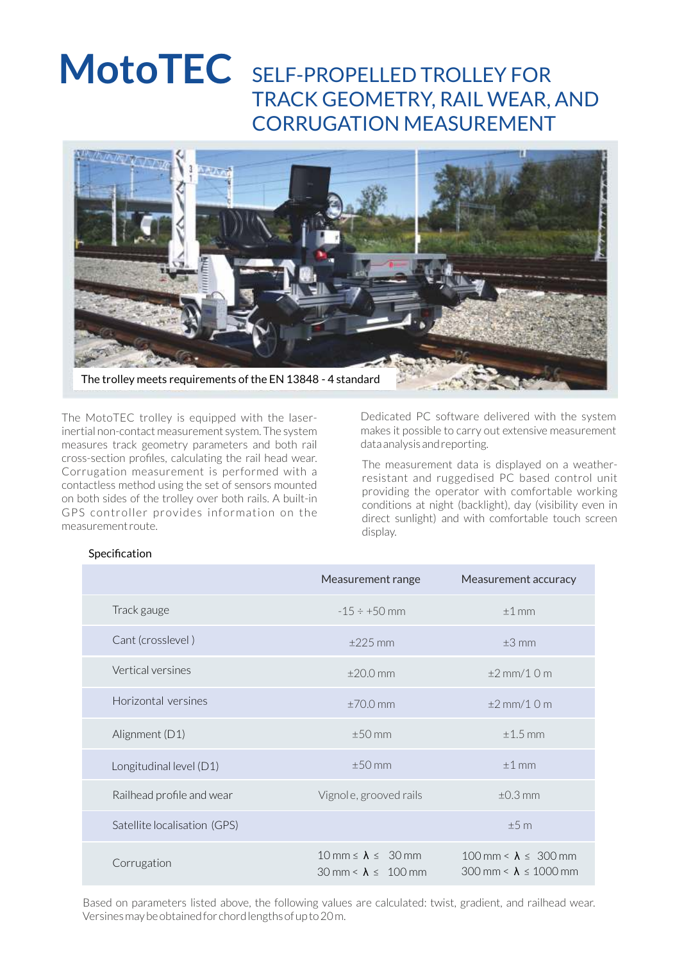# MotoTEC SELF-PROPELLED TROLLEY FOR TRACK GEOMETRY, RAIL WEAR, AND CORRUGATION MEASUREMENT



The MotoTEC trolley is equipped with the laserinertial non-contact measurement system. The system measures track geometry parameters and both rail cross-section profiles, calculating the rail head wear. Corrugation measurement is performed with a contactless method using the set of sensors mounted on both sides of the trolley over both rails. A built-in GPS controller provides information on the measurement route.

Dedicated PC software delivered with the system makes it possible to carry out extensive measurement data analysis and reporting.

The measurement data is displayed on a weatherresistant and ruggedised PC based control unit providing the operator with comfortable working conditions at night (backlight), day (visibility even in direct sunlight) and with comfortable touch screen display.

#### **Specification**

|                              | Measurement range                                                                              | Measurement accuracy                                                              |
|------------------------------|------------------------------------------------------------------------------------------------|-----------------------------------------------------------------------------------|
| Track gauge                  | $-15 \div +50$ mm                                                                              | $±1$ mm                                                                           |
| Cant (crosslevel)            | $\pm 225$ mm                                                                                   | $\pm 3$ mm                                                                        |
| Vertical versines            | $\pm 20.0$ mm                                                                                  | $\pm 2$ mm/1 0 m                                                                  |
| Horizontal versines          | $±70.0$ mm                                                                                     | $\pm 2$ mm/1 0 m                                                                  |
| Alignment (D1)               | $±50$ mm                                                                                       | $\pm$ 1.5 mm                                                                      |
| Longitudinal level (D1)      | $±50$ mm                                                                                       | $±1$ mm                                                                           |
| Railhead profile and wear    | Vignole, grooved rails                                                                         | $\pm 0.3$ mm                                                                      |
| Satellite localisation (GPS) |                                                                                                | ±5m                                                                               |
| Corrugation                  | $10 \text{ mm} \le \lambda \le 30 \text{ mm}$<br>$30 \text{ mm} < \lambda \leq 100 \text{ mm}$ | 100 mm < $\lambda \leq 300$ mm<br>$300 \text{ mm} < \lambda \leq 1000 \text{ mm}$ |

Based on parameters listed above, the following values are calculated: twist, gradient, and railhead wear. Versines may be obtained for chord lengths of up to 20 m.